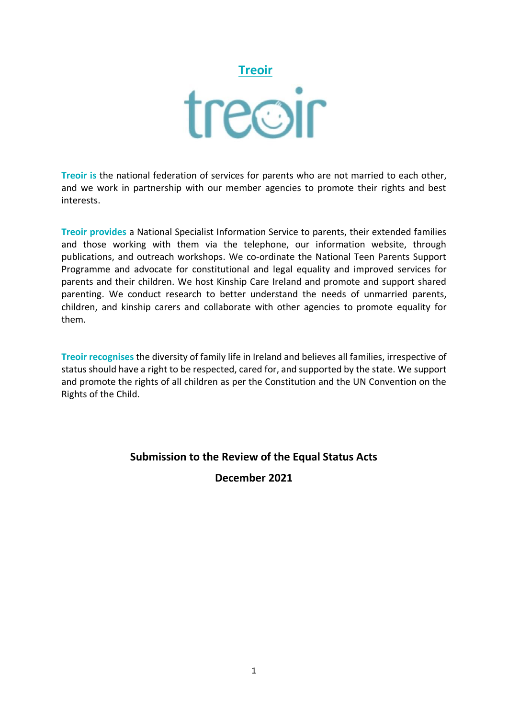# **Treoir**<br>treoir

**Treoir is** the national federation of services for parents who are not married to each other, and we work in partnership with our member agencies to promote their rights and best interests.

**Treoir provides** a National Specialist Information Service to parents, their extended families and those working with them via the telephone, our information website, through publications, and outreach workshops. We co-ordinate the National Teen Parents Support Programme and advocate for constitutional and legal equality and improved services for parents and their children. We host Kinship Care Ireland and promote and support shared parenting. We conduct research to better understand the needs of unmarried parents, children, and kinship carers and collaborate with other agencies to promote equality for them.

**Treoir recognises** the diversity of family life in Ireland and believes all families, irrespective of status should have a right to be respected, cared for, and supported by the state. We support and promote the rights of all children as per the Constitution and the UN Convention on the Rights of the Child.

# **Submission to the Review of the Equal Status Acts**

## **December 2021**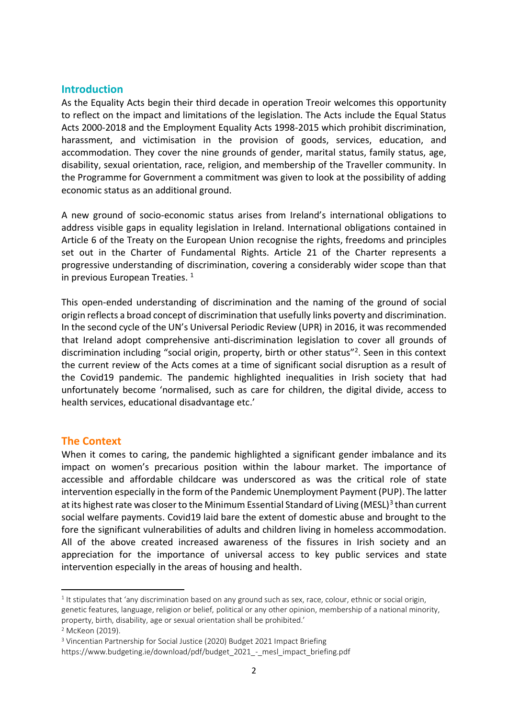#### **Introduction**

As the Equality Acts begin their third decade in operation Treoir welcomes this opportunity to reflect on the impact and limitations of the legislation. The Acts include the Equal Status Acts 2000-2018 and the Employment Equality Acts 1998-2015 which prohibit discrimination, harassment, and victimisation in the provision of goods, services, education, and accommodation. They cover the nine grounds of gender, marital status, family status, age, disability, sexual orientation, race, religion, and membership of the Traveller community. In the Programme for Government a commitment was given to look at the possibility of adding economic status as an additional ground.

A new ground of socio-economic status arises from Ireland's international obligations to address visible gaps in equality legislation in Ireland. International obligations contained in Article 6 of the Treaty on the European Union recognise the rights, freedoms and principles set out in the Charter of Fundamental Rights. Article 21 of the Charter represents a progressive understanding of discrimination, covering a considerably wider scope than that in previous European Treaties.<sup>1</sup>

This open-ended understanding of discrimination and the naming of the ground of social origin reflects a broad concept of discrimination that usefully links poverty and discrimination. In the second cycle of the UN's Universal Periodic Review (UPR) in 2016, it was recommended that Ireland adopt comprehensive anti-discrimination legislation to cover all grounds of discrimination including "social origin, property, birth or other status"<sup>2</sup>. Seen in this context the current review of the Acts comes at a time of significant social disruption as a result of the Covid19 pandemic. The pandemic highlighted inequalities in Irish society that had unfortunately become 'normalised, such as care for children, the digital divide, access to health services, educational disadvantage etc.'

#### **The Context**

When it comes to caring, the pandemic highlighted a significant gender imbalance and its impact on women's precarious position within the labour market. The importance of accessible and affordable childcare was underscored as was the critical role of state intervention especially in the form of the Pandemic Unemployment Payment (PUP). The latter at its highest rate was closer to the Minimum Essential Standard of Living (MESL)<sup>3</sup> than current social welfare payments. Covid19 laid bare the extent of domestic abuse and brought to the fore the significant vulnerabilities of adults and children living in homeless accommodation. All of the above created increased awareness of the fissures in Irish society and an appreciation for the importance of universal access to key public services and state intervention especially in the areas of housing and health.

<sup>&</sup>lt;sup>1</sup> It stipulates that 'any discrimination based on any ground such as sex, race, colour, ethnic or social origin, genetic features, language, religion or belief, political or any other opinion, membership of a national minority, property, birth, disability, age or sexual orientation shall be prohibited.'

<sup>2</sup> McKeon (2019).

<sup>3</sup> Vincentian Partnership for Social Justice (2020) Budget 2021 Impact Briefing

https://www.budgeting.ie/download/pdf/budget\_2021\_-\_mesl\_impact\_briefing.pdf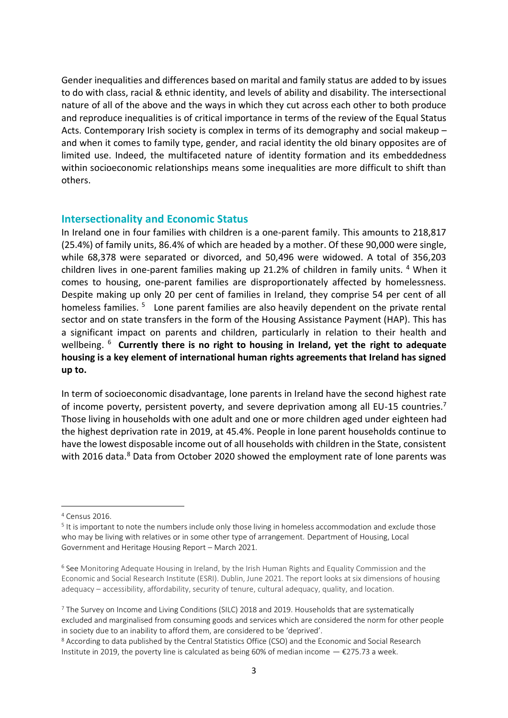Gender inequalities and differences based on marital and family status are added to by issues to do with class, racial & ethnic identity, and levels of ability and disability. The intersectional nature of all of the above and the ways in which they cut across each other to both produce and reproduce inequalities is of critical importance in terms of the review of the Equal Status Acts. Contemporary Irish society is complex in terms of its demography and social makeup – and when it comes to family type, gender, and racial identity the old binary opposites are of limited use. Indeed, the multifaceted nature of identity formation and its embeddedness within socioeconomic relationships means some inequalities are more difficult to shift than others.

#### **Intersectionality and Economic Status**

In Ireland one in four families with children is a one-parent family. This amounts to 218,817 (25.4%) of family units, 86.4% of which are headed by a mother. Of these 90,000 were single, while 68,378 were separated or divorced, and 50,496 were widowed. A total of 356,203 children lives in one-parent families making up 21.2% of children in family units. <sup>4</sup> When it comes to housing, one-parent families are disproportionately affected by homelessness. Despite making up only 20 per cent of families in Ireland, they comprise 54 per cent of all homeless families.<sup>5</sup> Lone parent families are also heavily dependent on the private rental sector and on state transfers in the form of the Housing Assistance Payment (HAP). This has a significant impact on parents and children, particularly in relation to their health and wellbeing. 6 **Currently there is no right to housing in Ireland, yet the right to adequate housing is a key element of international human rights agreements that Ireland has signed up to.** 

In term of socioeconomic disadvantage, lone parents in Ireland have the second highest rate of income poverty, persistent poverty, and severe deprivation among all EU-15 countries.<sup>7</sup> Those living in households with one adult and one or more children aged under eighteen had the highest deprivation rate in 2019, at 45.4%. People in lone parent households continue to have the lowest disposable income out of all households with children in the State, consistent with 2016 data.<sup>8</sup> Data from October 2020 showed the employment rate of lone parents was

<sup>4</sup> Census 2016.

<sup>&</sup>lt;sup>5</sup> It is important to note the numbers include only those living in homeless accommodation and exclude those who may be living with relatives or in some other type of arrangement. Department of Housing, Local Government and Heritage Housing Report – March 2021.

<sup>6</sup> See Monitoring Adequate Housing in Ireland, by the Irish Human Rights and Equality Commission and the Economic and Social Research Institute (ESRI). Dublin, June 2021. The report looks at six dimensions of housing adequacy – accessibility, affordability, security of tenure, cultural adequacy, quality, and location.

<sup>7</sup> The Survey on Income and Living Conditions (SILC) 2018 and 2019. Households that are systematically excluded and marginalised from consuming goods and services which are considered the norm for other people in society due to an inability to afford them, are considered to be 'deprived'.

<sup>8</sup> According to data published by the Central Statistics Office (CSO) and the Economic and Social Research Institute in 2019, the poverty line is calculated as being 60% of median income  $-$  €275.73 a week.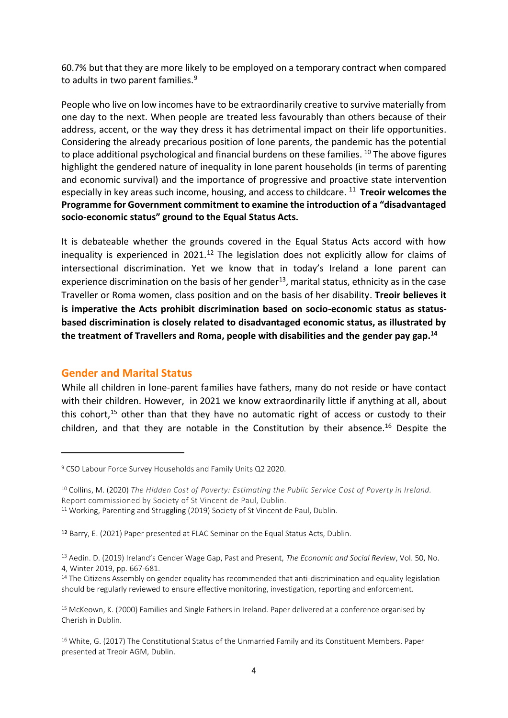60.7% but that they are more likely to be employed on a temporary contract when compared to adults in two parent families. 9

People who live on low incomes have to be extraordinarily creative to survive materially from one day to the next. When people are treated less favourably than others because of their address, accent, or the way they dress it has detrimental impact on their life opportunities. Considering the already precarious position of lone parents, the pandemic has the potential to place additional psychological and financial burdens on these families. <sup>10</sup> The above figures highlight the gendered nature of inequality in lone parent households (in terms of parenting and economic survival) and the importance of progressive and proactive state intervention especially in key areas such income, housing, and access to childcare. <sup>11</sup> Treoir welcomes the **Programme for Government commitment to examine the introduction of a "disadvantaged socio-economic status" ground to the Equal Status Acts.** 

It is debateable whether the grounds covered in the Equal Status Acts accord with how inequality is experienced in 2021.<sup>12</sup> The legislation does not explicitly allow for claims of intersectional discrimination. Yet we know that in today's Ireland a lone parent can experience discrimination on the basis of her gender<sup>13</sup>, marital status, ethnicity as in the case Traveller or Roma women, class position and on the basis of her disability. **Treoir believes it is imperative the Acts prohibit discrimination based on socio-economic status as statusbased discrimination is closely related to disadvantaged economic status, as illustrated by the treatment of Travellers and Roma, people with disabilities and the gender pay gap.<sup>14</sup>**

## **Gender and Marital Status**

While all children in lone-parent families have fathers, many do not reside or have contact with their children. However, in 2021 we know extraordinarily little if anything at all, about this cohort,<sup>15</sup> other than that they have no automatic right of access or custody to their children, and that they are notable in the Constitution by their absence.<sup>16</sup> Despite the

<sup>9</sup> CSO Labour Force Survey [Households](https://www.cso.ie/en/releasesandpublications/er/lfshfu/lfshouseholdsandfamilyunitsq22020/) and Family Units Q2 2020.

<sup>10</sup> Collins, M. (2020) *The Hidden Cost of Poverty: Estimating the Public Service Cost of Poverty in Ireland.* Report commissioned by Society of St Vincent de Paul, Dublin.

<sup>&</sup>lt;sup>11</sup> Working, Parenting and Struggling (2019) Society of St Vincent de Paul, Dublin.

<sup>12</sup> Barry, E. (2021) Paper presented at FLAC Seminar on the Equal Status Acts, Dublin.

<sup>13</sup> Aedin. D. (2019) Ireland's Gender Wage Gap, Past and Present, *The Economic and Social Review*, Vol. 50, No. 4, Winter 2019, pp. 667-681.

<sup>&</sup>lt;sup>14</sup> The Citizens Assembly on gender equality has recommended that anti-discrimination and equality legislation should be regularly reviewed to ensure effective monitoring, investigation, reporting and enforcement.

<sup>&</sup>lt;sup>15</sup> McKeown, K. (2000) Families and Single Fathers in Ireland. Paper delivered at a conference organised by Cherish in Dublin.

<sup>&</sup>lt;sup>16</sup> White, G. (2017) The Constitutional Status of the Unmarried Family and its Constituent Members. Paper presented at Treoir AGM, Dublin.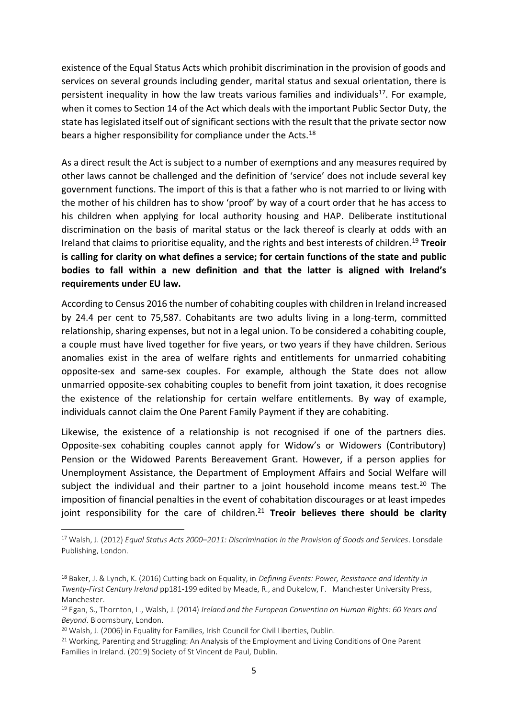existence of the Equal Status Acts which prohibit discrimination in the provision of goods and services on several grounds including gender, marital status and sexual orientation, there is persistent inequality in how the law treats various families and individuals<sup>17</sup>. For example, when it comes to Section 14 of the Act which deals with the important Public Sector Duty, the state has legislated itself out of significant sections with the result that the private sector now bears a higher responsibility for compliance under the Acts.<sup>18</sup>

As a direct result the Act is subject to a number of exemptions and any measures required by other laws cannot be challenged and the definition of 'service' does not include several key government functions. The import of this is that a father who is not married to or living with the mother of his children has to show 'proof' by way of a court order that he has access to his children when applying for local authority housing and HAP. Deliberate institutional discrimination on the basis of marital status or the lack thereof is clearly at odds with an Ireland that claims to prioritise equality, and the rights and best interests of children. <sup>19</sup> **Treoir is calling for clarity on what defines a service; for certain functions of the state and public bodies to fall within a new definition and that the latter is aligned with Ireland's requirements under EU law.** 

According to Census 2016 the number of cohabiting couples with children in Ireland increased by 24.4 per cent to 75,587. Cohabitants are two adults living in a long-term, committed relationship, sharing expenses, but not in a legal union. To be considered a cohabiting couple, a couple must have lived together for five years, or two years if they have children. Serious anomalies exist in the area of welfare rights and entitlements for unmarried cohabiting opposite-sex and same-sex couples. For example, although the State does not allow unmarried opposite-sex cohabiting couples to benefit from joint taxation, it does recognise the existence of the relationship for certain welfare entitlements. By way of example, individuals cannot claim the One Parent Family Payment if they are cohabiting.

Likewise, the existence of a relationship is not recognised if one of the partners dies. Opposite-sex cohabiting couples cannot apply for Widow's or Widowers (Contributory) Pension or the Widowed Parents Bereavement Grant. However, if a person applies for Unemployment Assistance, the Department of Employment Affairs and Social Welfare will subject the individual and their partner to a joint household income means test.<sup>20</sup> The imposition of financial penalties in the event of cohabitation discourages or at least impedes joint responsibility for the care of children.<sup>21</sup> Treoir believes there should be clarity

<sup>17</sup> Walsh, J. (2012) *Equal Status Acts 2000–2011: Discrimination in the Provision of Goods and Services*. Lonsdale Publishing, London.

<sup>18</sup> Baker, J. & Lynch, K. (2016) Cutting back on Equality, in *Defining Events: Power, Resistance and Identity in Twenty-First Century Ireland* pp181-199 edited by Meade, R., and Dukelow, F. Manchester University Press, Manchester.

<sup>19</sup> Egan, S., Thornton, L., Walsh, J. (2014) *Ireland and the European Convention on Human Rights: 60 Years and Beyond*. Bloomsbury, London.

<sup>&</sup>lt;sup>20</sup> Walsh, J. (2006) in Equality for Families, Irish Council for Civil Liberties, Dublin.

<sup>&</sup>lt;sup>21</sup> Working, Parenting and Struggling: An Analysis of the Employment and Living Conditions of One Parent Families in Ireland. (2019) Society of St Vincent de Paul, Dublin.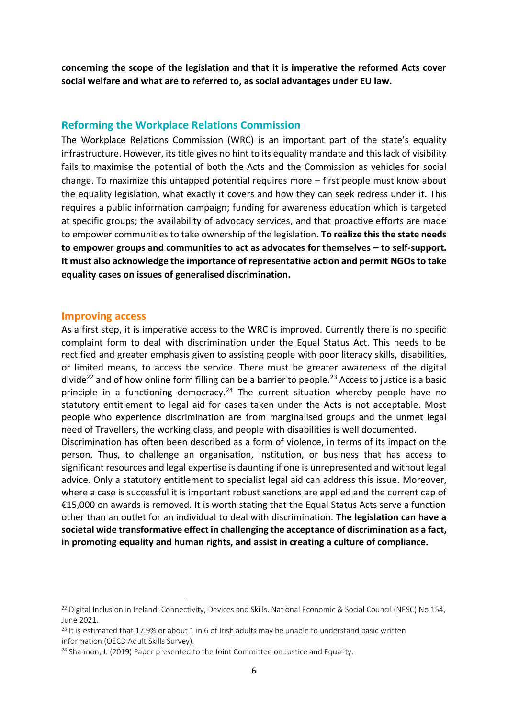**concerning the scope of the legislation and that it is imperative the reformed Acts cover social welfare and what are to referred to, as social advantages under EU law.** 

#### **Reforming the Workplace Relations Commission**

The Workplace Relations Commission (WRC) is an important part of the state's equality infrastructure. However, its title gives no hint to its equality mandate and this lack of visibility fails to maximise the potential of both the Acts and the Commission as vehicles for social change. To maximize this untapped potential requires more – first people must know about the equality legislation, what exactly it covers and how they can seek redress under it. This requires a public information campaign; funding for awareness education which is targeted at specific groups; the availability of advocacy services, and that proactive efforts are made to empower communities to take ownership of the legislation**. To realize this the state needs to empower groups and communities to act as advocates for themselves – to self-support. It must also acknowledge the importance of representative action and permit NGOsto take equality cases on issues of generalised discrimination.** 

#### **Improving access**

As a first step, it is imperative access to the WRC is improved. Currently there is no specific complaint form to deal with discrimination under the Equal Status Act. This needs to be rectified and greater emphasis given to assisting people with poor literacy skills, disabilities, or limited means, to access the service. There must be greater awareness of the digital divide<sup>22</sup> and of how online form filling can be a barrier to people.<sup>23</sup> Access to justice is a basic principle in a functioning democracy.<sup>24</sup> The current situation whereby people have no statutory entitlement to legal aid for cases taken under the Acts is not acceptable. Most people who experience discrimination are from marginalised groups and the unmet legal need of Travellers, the working class, and people with disabilities is well documented.

Discrimination has often been described as a form of violence, in terms of its impact on the person. Thus, to challenge an organisation, institution, or business that has access to significant resources and legal expertise is daunting if one is unrepresented and without legal advice. Only a statutory entitlement to specialist legal aid can address this issue. Moreover, where a case is successful it is important robust sanctions are applied and the current cap of €15,000 on awards is removed. It is worth stating that the Equal Status Acts serve a function other than an outlet for an individual to deal with discrimination. **The legislation can have a societal wide transformative effect in challenging the acceptance of discrimination as a fact, in promoting equality and human rights, and assist in creating a culture of compliance.** 

<sup>&</sup>lt;sup>22</sup> Digital Inclusion in Ireland: Connectivity, Devices and Skills. National Economic & Social Council (NESC) No 154, June 2021.

 $^{23}$  It is estimated that 17.9% or about 1 in 6 of Irish adults may be unable to understand basic written information (OECD Adult Skills Survey).

<sup>&</sup>lt;sup>24</sup> Shannon, J. (2019) Paper presented to the Joint Committee on Justice and Equality.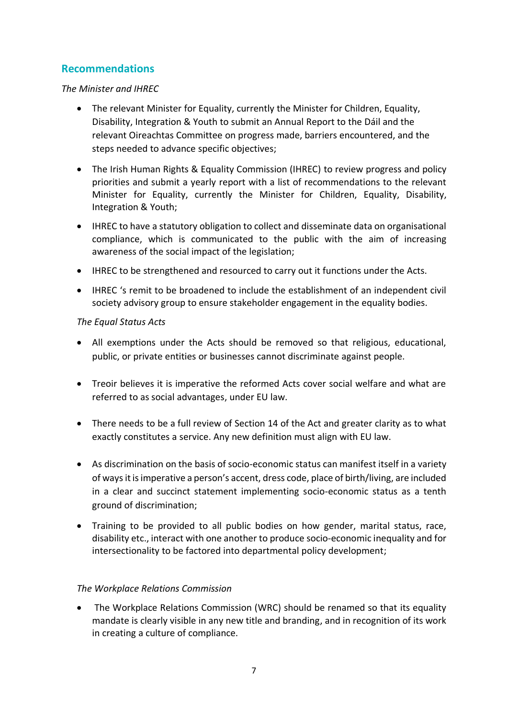# **Recommendations**

#### *The Minister and IHREC*

- The relevant Minister for Equality, currently the Minister for Children, Equality, Disability, Integration & Youth to submit an Annual Report to the Dáil and the relevant Oireachtas Committee on progress made, barriers encountered, and the steps needed to advance specific objectives;
- The Irish Human Rights & Equality Commission (IHREC) to review progress and policy priorities and submit a yearly report with a list of recommendations to the relevant Minister for Equality, currently the Minister for Children, Equality, Disability, Integration & Youth;
- IHREC to have a statutory obligation to collect and disseminate data on organisational compliance, which is communicated to the public with the aim of increasing awareness of the social impact of the legislation;
- IHREC to be strengthened and resourced to carry out it functions under the Acts.
- IHREC 's remit to be broadened to include the establishment of an independent civil society advisory group to ensure stakeholder engagement in the equality bodies.

#### *The Equal Status Acts*

- All exemptions under the Acts should be removed so that religious, educational, public, or private entities or businesses cannot discriminate against people.
- Treoir believes it is imperative the reformed Acts cover social welfare and what are referred to as social advantages, under EU law.
- There needs to be a full review of Section 14 of the Act and greater clarity as to what exactly constitutes a service. Any new definition must align with EU law.
- As discrimination on the basis of socio-economic status can manifest itself in a variety of ways it is imperative a person's accent, dress code, place of birth/living, are included in a clear and succinct statement implementing socio-economic status as a tenth ground of discrimination;
- Training to be provided to all public bodies on how gender, marital status, race, disability etc., interact with one another to produce socio-economic inequality and for intersectionality to be factored into departmental policy development;

#### *The Workplace Relations Commission*

• The Workplace Relations Commission (WRC) should be renamed so that its equality mandate is clearly visible in any new title and branding, and in recognition of its work in creating a culture of compliance.